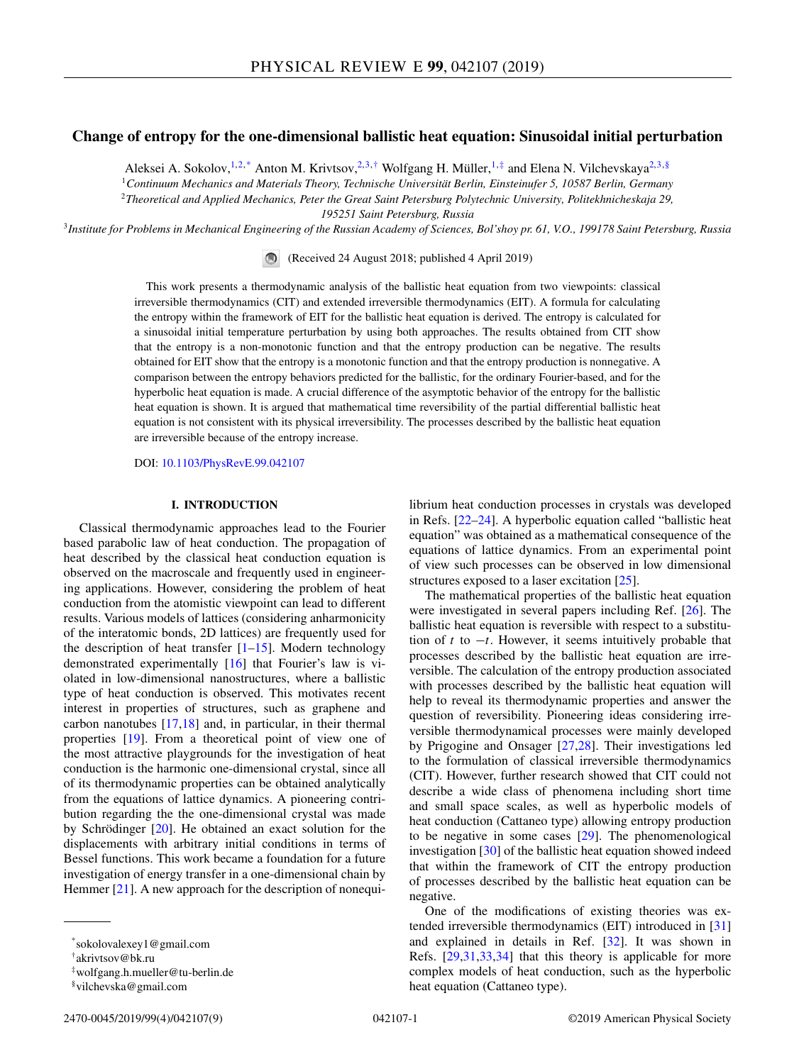# **Change of entropy for the one-dimensional ballistic heat equation: Sinusoidal initial perturbation**

Aleksei A. Sokolov,<sup>1,2,\*</sup> Anton M. Krivtsov,<sup>2,3,†</sup> Wolfgang H. Müller,<sup>1,‡</sup> and Elena N. Vilchevskaya<sup>2,3,§</sup>

<sup>1</sup>*Continuum Mechanics and Materials Theory, Technische Universität Berlin, Einsteinufer 5, 10587 Berlin, Germany*

<sup>2</sup>*Theoretical and Applied Mechanics, Peter the Great Saint Petersburg Polytechnic University, Politekhnicheskaja 29,*

*195251 Saint Petersburg, Russia*

<sup>3</sup>*Institute for Problems in Mechanical Engineering of the Russian Academy of Sciences, Bol'shoy pr. 61, V.O., 199178 Saint Petersburg, Russia*

(Received 24 August 2018; published 4 April 2019)

This work presents a thermodynamic analysis of the ballistic heat equation from two viewpoints: classical irreversible thermodynamics (CIT) and extended irreversible thermodynamics (EIT). A formula for calculating the entropy within the framework of EIT for the ballistic heat equation is derived. The entropy is calculated for a sinusoidal initial temperature perturbation by using both approaches. The results obtained from CIT show that the entropy is a non-monotonic function and that the entropy production can be negative. The results obtained for EIT show that the entropy is a monotonic function and that the entropy production is nonnegative. A comparison between the entropy behaviors predicted for the ballistic, for the ordinary Fourier-based, and for the hyperbolic heat equation is made. A crucial difference of the asymptotic behavior of the entropy for the ballistic heat equation is shown. It is argued that mathematical time reversibility of the partial differential ballistic heat equation is not consistent with its physical irreversibility. The processes described by the ballistic heat equation are irreversible because of the entropy increase.

DOI: [10.1103/PhysRevE.99.042107](https://doi.org/10.1103/PhysRevE.99.042107)

# **I. INTRODUCTION**

Classical thermodynamic approaches lead to the Fourier based parabolic law of heat conduction. The propagation of heat described by the classical heat conduction equation is observed on the macroscale and frequently used in engineering applications. However, considering the problem of heat conduction from the atomistic viewpoint can lead to different results. Various models of lattices (considering anharmonicity of the interatomic bonds, 2D lattices) are frequently used for the description of heat transfer  $[1-15]$ . Modern technology demonstrated experimentally [\[16\]](#page-7-0) that Fourier's law is violated in low-dimensional nanostructures, where a ballistic type of heat conduction is observed. This motivates recent interest in properties of structures, such as graphene and carbon nanotubes  $[17,18]$  and, in particular, in their thermal properties [\[19\]](#page-7-0). From a theoretical point of view one of the most attractive playgrounds for the investigation of heat conduction is the harmonic one-dimensional crystal, since all of its thermodynamic properties can be obtained analytically from the equations of lattice dynamics. A pioneering contribution regarding the the one-dimensional crystal was made by Schrödinger [\[20\]](#page-7-0). He obtained an exact solution for the displacements with arbitrary initial conditions in terms of Bessel functions. This work became a foundation for a future investigation of energy transfer in a one-dimensional chain by Hemmer [\[21\]](#page-7-0). A new approach for the description of nonequilibrium heat conduction processes in crystals was developed in Refs. [\[22–24\]](#page-7-0). A hyperbolic equation called "ballistic heat equation" was obtained as a mathematical consequence of the equations of lattice dynamics. From an experimental point of view such processes can be observed in low dimensional structures exposed to a laser excitation [\[25\]](#page-7-0).

The mathematical properties of the ballistic heat equation were investigated in several papers including Ref. [\[26\]](#page-7-0). The ballistic heat equation is reversible with respect to a substitution of *t* to −*t*. However, it seems intuitively probable that processes described by the ballistic heat equation are irreversible. The calculation of the entropy production associated with processes described by the ballistic heat equation will help to reveal its thermodynamic properties and answer the question of reversibility. Pioneering ideas considering irreversible thermodynamical processes were mainly developed by Prigogine and Onsager [\[27,28\]](#page-7-0). Their investigations led to the formulation of classical irreversible thermodynamics (CIT). However, further research showed that CIT could not describe a wide class of phenomena including short time and small space scales, as well as hyperbolic models of heat conduction (Cattaneo type) allowing entropy production to be negative in some cases [\[29\]](#page-7-0). The phenomenological investigation [\[30\]](#page-7-0) of the ballistic heat equation showed indeed that within the framework of CIT the entropy production of processes described by the ballistic heat equation can be negative.

One of the modifications of existing theories was extended irreversible thermodynamics (EIT) introduced in [\[31\]](#page-7-0) and explained in details in Ref. [\[32\]](#page-7-0). It was shown in Refs. [\[29,31,33,34\]](#page-7-0) that this theory is applicable for more complex models of heat conduction, such as the hyperbolic heat equation (Cattaneo type).

<sup>\*</sup>sokolovalexey1@gmail.com

<sup>†</sup>akrivtsov@bk.ru

<sup>‡</sup>wolfgang.h.mueller@tu-berlin.de

<sup>§</sup>vilchevska@gmail.com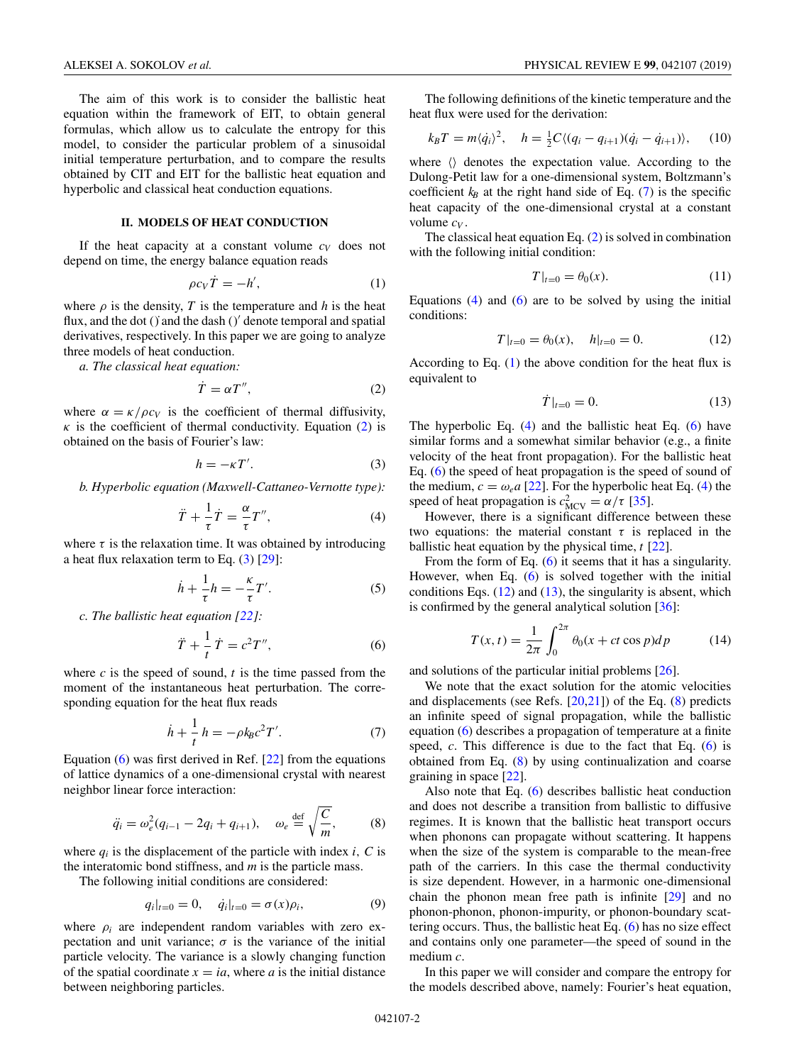<span id="page-1-0"></span>The aim of this work is to consider the ballistic heat equation within the framework of EIT, to obtain general formulas, which allow us to calculate the entropy for this model, to consider the particular problem of a sinusoidal initial temperature perturbation, and to compare the results obtained by CIT and EIT for the ballistic heat equation and hyperbolic and classical heat conduction equations.

## **II. MODELS OF HEAT CONDUCTION**

If the heat capacity at a constant volume  $c_V$  does not depend on time, the energy balance equation reads

$$
\rho c_V \dot{T} = -h',\tag{1}
$$

where  $\rho$  is the density, *T* is the temperature and *h* is the heat flux, and the dot () and the dash ()' denote temporal and spatial derivatives, respectively. In this paper we are going to analyze three models of heat conduction.

*a. The classical heat equation:*

$$
\dot{T} = \alpha T'',\tag{2}
$$

where  $\alpha = \frac{\kappa}{\rho c_V}$  is the coefficient of thermal diffusivity,  $\kappa$  is the coefficient of thermal conductivity. Equation (2) is obtained on the basis of Fourier's law:

$$
h = -\kappa T'.\tag{3}
$$

*b. Hyperbolic equation (Maxwell-Cattaneo-Vernotte type):*

$$
\ddot{T} + \frac{1}{\tau}\dot{T} = \frac{\alpha}{\tau}T'',\tag{4}
$$

where  $\tau$  is the relaxation time. It was obtained by introducing a heat flux relaxation term to Eq.  $(3)$  [\[29\]](#page-7-0):

$$
\dot{h} + \frac{1}{\tau}h = -\frac{\kappa}{\tau}T'.
$$
 (5)

*c. The ballistic heat equation [\[22\]](#page-7-0):*

$$
\ddot{T} + \frac{1}{t}\dot{T} = c^2 T'',\tag{6}
$$

where  $c$  is the speed of sound,  $t$  is the time passed from the moment of the instantaneous heat perturbation. The corresponding equation for the heat flux reads

$$
\dot{h} + \frac{1}{t}h = -\rho k_B c^2 T'.
$$
\n(7)

Equation  $(6)$  was first derived in Ref.  $[22]$  from the equations of lattice dynamics of a one-dimensional crystal with nearest neighbor linear force interaction:

$$
\ddot{q}_i = \omega_e^2 (q_{i-1} - 2q_i + q_{i+1}), \quad \omega_e \stackrel{\text{def}}{=} \sqrt{\frac{C}{m}}, \quad (8)
$$

where  $q_i$  is the displacement of the particle with index *i*, *C* is the interatomic bond stiffness, and *m* is the particle mass.

The following initial conditions are considered:

$$
q_i|_{t=0} = 0, \quad \dot{q}_i|_{t=0} = \sigma(x)\rho_i,\tag{9}
$$

where  $\rho_i$  are independent random variables with zero expectation and unit variance;  $\sigma$  is the variance of the initial particle velocity. The variance is a slowly changing function of the spatial coordinate  $x = ia$ , where *a* is the initial distance between neighboring particles.

The following definitions of the kinetic temperature and the heat flux were used for the derivation:

$$
k_B T = m \langle \dot{q}_i \rangle^2, \quad h = \frac{1}{2} C \langle (q_i - q_{i+1}) (\dot{q}_i - \dot{q}_{i+1}) \rangle, \quad (10)
$$

where  $\langle \rangle$  denotes the expectation value. According to the Dulong-Petit law for a one-dimensional system, Boltzmann's coefficient  $k_B$  at the right hand side of Eq. (7) is the specific heat capacity of the one-dimensional crystal at a constant volume *cV* .

The classical heat equation Eq.  $(2)$  is solved in combination with the following initial condition:

$$
T|_{t=0} = \theta_0(x). \tag{11}
$$

Equations  $(4)$  and  $(6)$  are to be solved by using the initial conditions:

$$
T|_{t=0} = \theta_0(x), \quad h|_{t=0} = 0. \tag{12}
$$

According to Eq. (1) the above condition for the heat flux is equivalent to

$$
\dot{T}|_{t=0} = 0. \tag{13}
$$

The hyperbolic Eq. (4) and the ballistic heat Eq. (6) have similar forms and a somewhat similar behavior (e.g., a finite velocity of the heat front propagation). For the ballistic heat Eq. (6) the speed of heat propagation is the speed of sound of the medium,  $c = \omega_e a$  [\[22\]](#page-7-0). For the hyperbolic heat Eq. (4) the speed of heat propagation is  $c_{\text{MCV}}^2 = \alpha/\tau$  [\[35\]](#page-8-0).

However, there is a significant difference between these two equations: the material constant  $\tau$  is replaced in the ballistic heat equation by the physical time, *t* [\[22\]](#page-7-0).

From the form of Eq.  $(6)$  it seems that it has a singularity. However, when Eq. (6) is solved together with the initial conditions Eqs.  $(12)$  and  $(13)$ , the singularity is absent, which is confirmed by the general analytical solution  $[36]$ :

$$
T(x,t) = \frac{1}{2\pi} \int_0^{2\pi} \theta_0(x + ct \cos p) dp
$$
 (14)

and solutions of the particular initial problems [\[26\]](#page-7-0).

We note that the exact solution for the atomic velocities and displacements (see Refs.  $[20,21]$ ) of the Eq.  $(8)$  predicts an infinite speed of signal propagation, while the ballistic equation (6) describes a propagation of temperature at a finite speed, *c*. This difference is due to the fact that Eq. (6) is obtained from Eq. (8) by using continualization and coarse graining in space [\[22\]](#page-7-0).

Also note that Eq. (6) describes ballistic heat conduction and does not describe a transition from ballistic to diffusive regimes. It is known that the ballistic heat transport occurs when phonons can propagate without scattering. It happens when the size of the system is comparable to the mean-free path of the carriers. In this case the thermal conductivity is size dependent. However, in a harmonic one-dimensional chain the phonon mean free path is infinite [\[29\]](#page-7-0) and no phonon-phonon, phonon-impurity, or phonon-boundary scattering occurs. Thus, the ballistic heat Eq. (6) has no size effect and contains only one parameter—the speed of sound in the medium *c*.

In this paper we will consider and compare the entropy for the models described above, namely: Fourier's heat equation,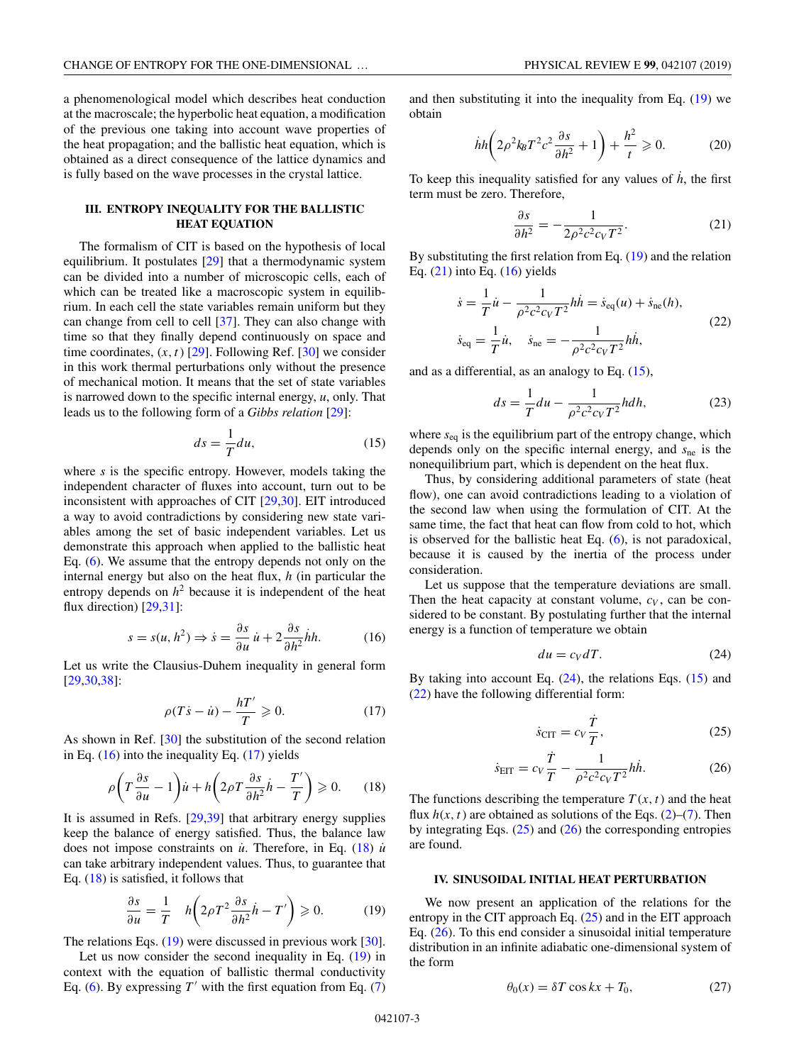<span id="page-2-0"></span>a phenomenological model which describes heat conduction at the macroscale; the hyperbolic heat equation, a modification of the previous one taking into account wave properties of the heat propagation; and the ballistic heat equation, which is obtained as a direct consequence of the lattice dynamics and is fully based on the wave processes in the crystal lattice.

### **III. ENTROPY INEQUALITY FOR THE BALLISTIC HEAT EQUATION**

The formalism of CIT is based on the hypothesis of local equilibrium. It postulates [\[29\]](#page-7-0) that a thermodynamic system can be divided into a number of microscopic cells, each of which can be treated like a macroscopic system in equilibrium. In each cell the state variables remain uniform but they can change from cell to cell [\[37\]](#page-8-0). They can also change with time so that they finally depend continuously on space and time coordinates,  $(x, t)$  [\[29\]](#page-7-0). Following Ref. [\[30\]](#page-7-0) we consider in this work thermal perturbations only without the presence of mechanical motion. It means that the set of state variables is narrowed down to the specific internal energy, *u*, only. That leads us to the following form of a *Gibbs relation* [\[29\]](#page-7-0):

$$
ds = \frac{1}{T} du,\t\t(15)
$$

where *s* is the specific entropy. However, models taking the independent character of fluxes into account, turn out to be inconsistent with approaches of CIT [\[29,30\]](#page-7-0). EIT introduced a way to avoid contradictions by considering new state variables among the set of basic independent variables. Let us demonstrate this approach when applied to the ballistic heat Eq. [\(6\)](#page-1-0). We assume that the entropy depends not only on the internal energy but also on the heat flux, *h* (in particular the entropy depends on  $h^2$  because it is independent of the heat flux direction) [\[29,31\]](#page-7-0):

$$
s = s(u, h^2) \Rightarrow \dot{s} = \frac{\partial s}{\partial u}\dot{u} + 2\frac{\partial s}{\partial h^2}\dot{h}h.
$$
 (16)

Let us write the Clausius-Duhem inequality in general form [\[29,30,](#page-7-0)[38\]](#page-8-0):

$$
\rho(T\dot{s} - \dot{u}) - \frac{hT'}{T} \ge 0.
$$
\n(17)

As shown in Ref. [\[30\]](#page-7-0) the substitution of the second relation in Eq.  $(16)$  into the inequality Eq.  $(17)$  yields

$$
\rho \left( T \frac{\partial s}{\partial u} - 1 \right) \dot{u} + h \left( 2 \rho T \frac{\partial s}{\partial h^2} \dot{h} - \frac{T'}{T} \right) \geq 0. \tag{18}
$$

It is assumed in Refs. [\[29](#page-7-0)[,39\]](#page-8-0) that arbitrary energy supplies keep the balance of energy satisfied. Thus, the balance law does not impose constraints on  $\dot{u}$ . Therefore, in Eq. (18)  $\dot{u}$ can take arbitrary independent values. Thus, to guarantee that Eq.  $(18)$  is satisfied, it follows that

$$
\frac{\partial s}{\partial u} = \frac{1}{T} h \left( 2\rho T^2 \frac{\partial s}{\partial h^2} \dot{h} - T' \right) \ge 0.
$$
 (19)

The relations Eqs.  $(19)$  were discussed in previous work [\[30\]](#page-7-0).

Let us now consider the second inequality in Eq. (19) in context with the equation of ballistic thermal conductivity Eq. [\(6\)](#page-1-0). By expressing  $T'$  with the first equation from Eq. [\(7\)](#page-1-0) and then substituting it into the inequality from Eq. (19) we obtain

$$
hh\left(2\rho^2 k_B T^2 c^2 \frac{\partial s}{\partial h^2} + 1\right) + \frac{h^2}{t} \geqslant 0. \tag{20}
$$

To keep this inequality satisfied for any values of  $\dot{h}$ , the first term must be zero. Therefore,

$$
\frac{\partial s}{\partial h^2} = -\frac{1}{2\rho^2 c^2 c_V T^2}.
$$
 (21)

By substituting the first relation from Eq. (19) and the relation Eq.  $(21)$  into Eq.  $(16)$  yields

$$
\dot{s} = \frac{1}{T}\dot{u} - \frac{1}{\rho^2 c^2 c_V T^2} h \dot{h} = \dot{s}_{eq}(u) + \dot{s}_{ne}(h),
$$
  

$$
\dot{s}_{eq} = \frac{1}{T}\dot{u}, \quad \dot{s}_{ne} = -\frac{1}{\rho^2 c^2 c_V T^2} h \dot{h},
$$
 (22)

and as a differential, as an analogy to Eq. (15),

$$
ds = \frac{1}{T} du - \frac{1}{\rho^2 c^2 c_V T^2} h dh,
$$
 (23)

where *s*eq is the equilibrium part of the entropy change, which depends only on the specific internal energy, and *s*ne is the nonequilibrium part, which is dependent on the heat flux.

Thus, by considering additional parameters of state (heat flow), one can avoid contradictions leading to a violation of the second law when using the formulation of CIT. At the same time, the fact that heat can flow from cold to hot, which is observed for the ballistic heat Eq. [\(6\)](#page-1-0), is not paradoxical, because it is caused by the inertia of the process under consideration.

Let us suppose that the temperature deviations are small. Then the heat capacity at constant volume,  $c_V$ , can be considered to be constant. By postulating further that the internal energy is a function of temperature we obtain

$$
du = c_V dT. \tag{24}
$$

By taking into account Eq.  $(24)$ , the relations Eqs.  $(15)$  and (22) have the following differential form:

$$
\dot{s}_{\text{CIT}} = c_V \frac{\dot{T}}{T},\tag{25}
$$

$$
\dot{s}_{\text{EIT}} = c_V \frac{\dot{T}}{T} - \frac{1}{\rho^2 c^2 c_V T^2} h \dot{h}.
$$
 (26)

The functions describing the temperature  $T(x, t)$  and the heat flux  $h(x, t)$  are obtained as solutions of the Eqs. [\(2\)](#page-1-0)–[\(7\)](#page-1-0). Then by integrating Eqs.  $(25)$  and  $(26)$  the corresponding entropies are found.

### **IV. SINUSOIDAL INITIAL HEAT PERTURBATION**

We now present an application of the relations for the entropy in the CIT approach Eq. (25) and in the EIT approach Eq. (26). To this end consider a sinusoidal initial temperature distribution in an infinite adiabatic one-dimensional system of the form

$$
\theta_0(x) = \delta T \cos kx + T_0,\tag{27}
$$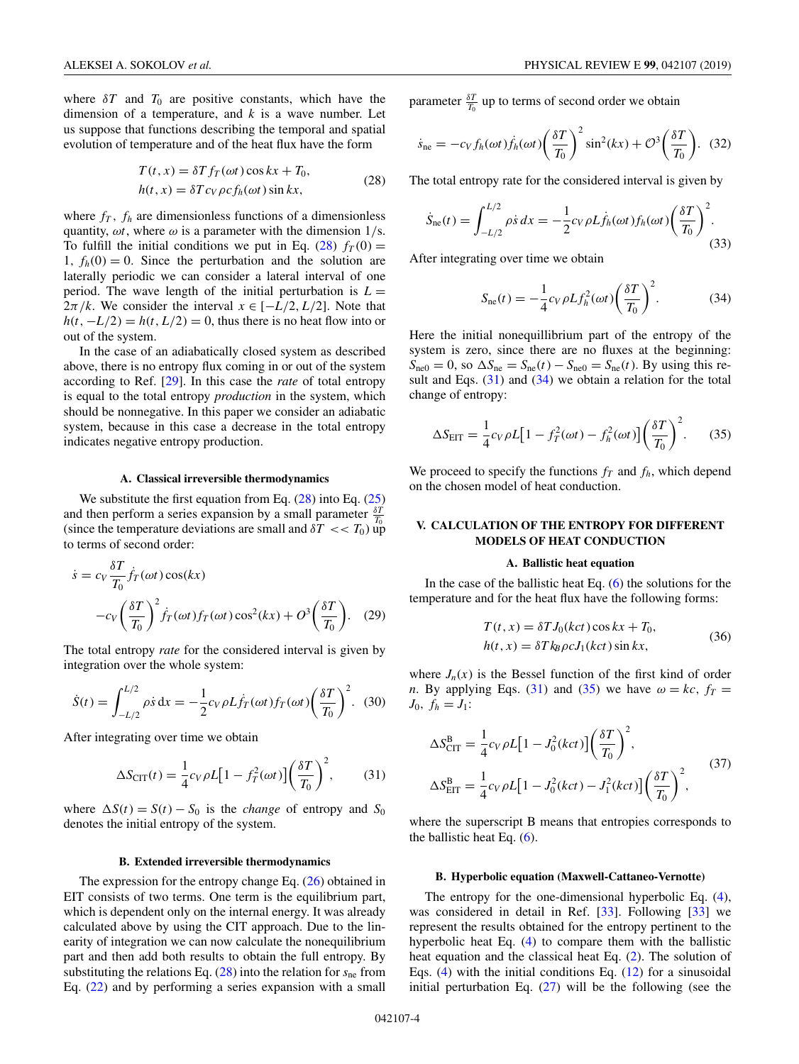<span id="page-3-0"></span>where  $\delta T$  and  $T_0$  are positive constants, which have the dimension of a temperature, and *k* is a wave number. Let us suppose that functions describing the temporal and spatial evolution of temperature and of the heat flux have the form

$$
T(t, x) = \delta T f_T(\omega t) \cos kx + T_0,
$$
  
\n
$$
h(t, x) = \delta T c_V \rho c f_h(\omega t) \sin kx,
$$
\n(28)

where  $f_T$ ,  $f_h$  are dimensionless functions of a dimensionless quantity,  $\omega t$ , where  $\omega$  is a parameter with the dimension  $1/s$ . To fulfill the initial conditions we put in Eq.  $(28) f<sub>T</sub>(0) =$ 1,  $f_h(0) = 0$ . Since the perturbation and the solution are laterally periodic we can consider a lateral interval of one period. The wave length of the initial perturbation is  $L =$  $2\pi/k$ . We consider the interval  $x \in [-L/2, L/2]$ . Note that  $h(t, -L/2) = h(t, L/2) = 0$ , thus there is no heat flow into or out of the system.

In the case of an adiabatically closed system as described above, there is no entropy flux coming in or out of the system according to Ref. [\[29\]](#page-7-0). In this case the *rate* of total entropy is equal to the total entropy *production* in the system, which should be nonnegative. In this paper we consider an adiabatic system, because in this case a decrease in the total entropy indicates negative entropy production.

### **A. Classical irreversible thermodynamics**

We substitute the first equation from Eq. (28) into Eq. [\(25\)](#page-2-0) and then perform a series expansion by a small parameter  $\frac{\delta T}{T_0}$ (since the temperature deviations are small and  $\delta T \ll T_0$ ) up to terms of second order:

$$
\dot{s} = c_V \frac{\delta T}{T_0} \dot{f}_T(\omega t) \cos(kx)
$$

$$
-c_V \left(\frac{\delta T}{T_0}\right)^2 \dot{f}_T(\omega t) f_T(\omega t) \cos^2(kx) + O^3\left(\frac{\delta T}{T_0}\right). \quad (29)
$$

The total entropy *rate* for the considered interval is given by integration over the whole system:

$$
\dot{S}(t) = \int_{-L/2}^{L/2} \rho \dot{s} \, \mathrm{d}x = -\frac{1}{2} c_V \rho L \dot{f}_T(\omega t) f_T(\omega t) \left(\frac{\delta T}{T_0}\right)^2. \tag{30}
$$

After integrating over time we obtain

$$
\Delta S_{\text{CIT}}(t) = \frac{1}{4} c_V \rho L \left[ 1 - f_T^2(\omega t) \right] \left( \frac{\delta T}{T_0} \right)^2, \tag{31}
$$

where  $\Delta S(t) = S(t) - S_0$  is the *change* of entropy and  $S_0$ denotes the initial entropy of the system.

#### **B. Extended irreversible thermodynamics**

The expression for the entropy change Eq. [\(26\)](#page-2-0) obtained in EIT consists of two terms. One term is the equilibrium part, which is dependent only on the internal energy. It was already calculated above by using the CIT approach. Due to the linearity of integration we can now calculate the nonequilibrium part and then add both results to obtain the full entropy. By substituting the relations Eq. (28) into the relation for *s*ne from Eq. [\(22\)](#page-2-0) and by performing a series expansion with a small

parameter  $\frac{\delta T}{T_0}$  up to terms of second order we obtain

$$
\dot{s}_{\text{ne}} = -c_V f_h(\omega t) \dot{f}_h(\omega t) \left(\frac{\delta T}{T_0}\right)^2 \sin^2(kx) + \mathcal{O}^3 \left(\frac{\delta T}{T_0}\right). \tag{32}
$$

The total entropy rate for the considered interval is given by

$$
\dot{S}_{\text{ne}}(t) = \int_{-L/2}^{L/2} \rho \dot{s} \, dx = -\frac{1}{2} c_V \rho L \dot{f}_h(\omega t) f_h(\omega t) \left(\frac{\delta T}{T_0}\right)^2.
$$
\n(33)

After integrating over time we obtain

$$
S_{\text{ne}}(t) = -\frac{1}{4}c_V \rho L f_h^2(\omega t) \left(\frac{\delta T}{T_0}\right)^2.
$$
 (34)

Here the initial nonequillibrium part of the entropy of the system is zero, since there are no fluxes at the beginning:  $S_{\text{ne0}} = 0$ , so  $\Delta S_{\text{ne}} = S_{\text{ne}}(t) - S_{\text{ne0}} = S_{\text{ne}}(t)$ . By using this result and Eqs.  $(31)$  and  $(34)$  we obtain a relation for the total change of entropy:

$$
\Delta S_{\text{EIT}} = \frac{1}{4} c_V \rho L \left[ 1 - f_T^2(\omega t) - f_h^2(\omega t) \right] \left( \frac{\delta T}{T_0} \right)^2.
$$
 (35)

We proceed to specify the functions  $f_T$  and  $f_h$ , which depend on the chosen model of heat conduction.

## **V. CALCULATION OF THE ENTROPY FOR DIFFERENT MODELS OF HEAT CONDUCTION**

### **A. Ballistic heat equation**

In the case of the ballistic heat Eq.  $(6)$  the solutions for the temperature and for the heat flux have the following forms:

$$
T(t, x) = \delta T J_0(kct) \cos kx + T_0,
$$
  
\n
$$
h(t, x) = \delta T k_B \rho c J_1(kct) \sin kx,
$$
\n(36)

where  $J_n(x)$  is the Bessel function of the first kind of order *n*. By applying Eqs. (31) and (35) we have  $\omega = kc$ ,  $f_T =$  $J_0, f_h = J_1$ :

$$
\Delta S_{\text{CIT}}^{\text{B}} = \frac{1}{4} c_V \rho L \left[ 1 - J_0^2 (kct) \right] \left( \frac{\delta T}{T_0} \right)^2,
$$
  
\n
$$
\Delta S_{\text{EIT}}^{\text{B}} = \frac{1}{4} c_V \rho L \left[ 1 - J_0^2 (kct) - J_1^2 (kct) \right] \left( \frac{\delta T}{T_0} \right)^2,
$$
\n(37)

where the superscript B means that entropies corresponds to the ballistic heat Eq.  $(6)$ .

## **B. Hyperbolic equation (Maxwell-Cattaneo-Vernotte)**

The entropy for the one-dimensional hyperbolic Eq. [\(4\)](#page-1-0), was considered in detail in Ref. [\[33\]](#page-7-0). Following [\[33\]](#page-7-0) we represent the results obtained for the entropy pertinent to the hyperbolic heat Eq. [\(4\)](#page-1-0) to compare them with the ballistic heat equation and the classical heat Eq. [\(2\)](#page-1-0). The solution of Eqs. [\(4\)](#page-1-0) with the initial conditions Eq.  $(12)$  for a sinusoidal initial perturbation Eq.  $(27)$  will be the following (see the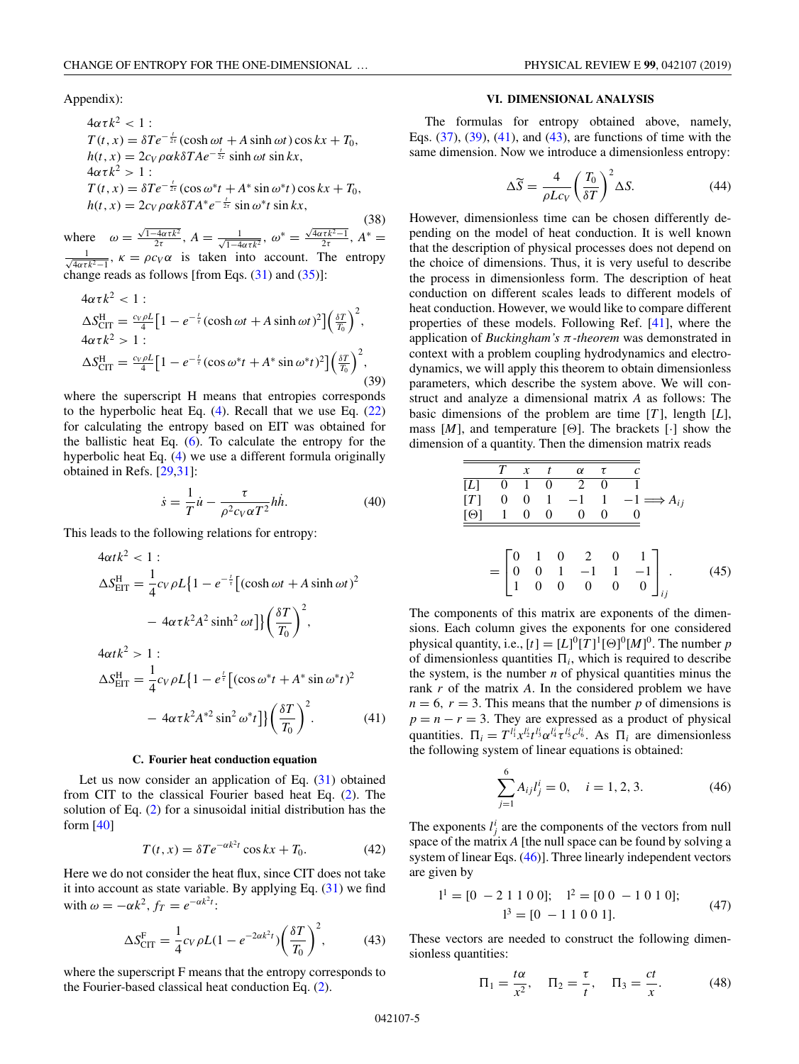<span id="page-4-0"></span>Appendix):

$$
4\alpha\tau k^2 < 1:
$$
  
\n
$$
T(t, x) = \delta Te^{-\frac{t}{2\tau}}(\cosh \omega t + A \sinh \omega t) \cos kx + T_0,
$$
  
\n
$$
h(t, x) = 2c_V \rho \alpha k \delta T A e^{-\frac{t}{2\tau}} \sinh \omega t \sin kx,
$$
  
\n
$$
4\alpha\tau k^2 > 1:
$$
  
\n
$$
T(t, x) = \delta Te^{-\frac{t}{2\tau}}(\cos \omega^* t + A^* \sin \omega^* t) \cos kx + T_0,
$$
  
\n
$$
h(t, x) = 2c_V \rho \alpha k \delta T A^* e^{-\frac{t}{2\tau}} \sin \omega^* t \sin kx,
$$

(38) where  $\omega = \frac{\sqrt{1-4\alpha\tau k^2}}{2\tau}$ ,  $A = \frac{1}{\sqrt{1-4\alpha\tau k^2}}$ ,  $\omega^* = \frac{\sqrt{4\alpha\tau k^2-1}}{2\tau}$ ,  $A^* =$ √ 1  $\frac{1}{4\alpha\tau k^2-1}$ ,  $\kappa = \rho c_V \alpha$  is taken into account. The entropy change reads as follows [from Eqs.  $(31)$  and  $(35)$ ]:

$$
4\alpha \tau k^2 < 1:
$$
  
\n
$$
\Delta S_{\text{CIT}}^{\text{H}} = \frac{c_V \rho L}{4} \Big[ 1 - e^{-\frac{t}{\tau}} (\cosh \omega t + A \sinh \omega t)^2 \Big] \Big(\frac{\delta T}{T_0}\Big)^2,
$$
  
\n
$$
4\alpha \tau k^2 > 1:
$$
  
\n
$$
\Delta S_{\text{CIT}}^{\text{H}} = \frac{c_V \rho L}{4} \Big[ 1 - e^{-\frac{t}{\tau}} (\cos \omega^* t + A^* \sin \omega^* t)^2 \Big] \Big(\frac{\delta T}{T_0}\Big)^2,
$$
\n(39)

where the superscript H means that entropies corresponds to the hyperbolic heat Eq.  $(4)$ . Recall that we use Eq.  $(22)$ for calculating the entropy based on EIT was obtained for the ballistic heat Eq.  $(6)$ . To calculate the entropy for the hyperbolic heat Eq. [\(4\)](#page-1-0) we use a different formula originally obtained in Refs. [\[29,31\]](#page-7-0):

$$
\dot{s} = \frac{1}{T}\dot{u} - \frac{\tau}{\rho^2 c_V \alpha T^2} h\dot{h}.
$$
 (40)

This leads to the following relations for entropy:

$$
4\alpha t k^2 < 1:
$$
  
\n
$$
\Delta S_{\text{EIT}}^{\text{H}} = \frac{1}{4} c_V \rho L \{1 - e^{-\frac{t}{\tau}} \left[ (\cosh \omega t + A \sinh \omega t)^2 - 4\alpha \tau k^2 A^2 \sinh^2 \omega t \right] \} \left( \frac{\delta T}{T_0} \right)^2,
$$
  
\n
$$
4\alpha t k^2 > 1:
$$
  
\n
$$
\Delta S_{\text{EIT}}^{\text{H}} = \frac{1}{4} c_V \rho L \{1 - e^{\frac{t}{\tau}} \left[ (\cos \omega^* t + A^* \sin \omega^* t)^2 - 4\alpha \tau k^2 A^{*2} \sin^2 \omega^* t \right] \} \left( \frac{\delta T}{T_0} \right)^2.
$$
 (41)

#### **C. Fourier heat conduction equation**

Let us now consider an application of Eq.  $(31)$  obtained from CIT to the classical Fourier based heat Eq. [\(2\)](#page-1-0). The solution of Eq. [\(2\)](#page-1-0) for a sinusoidal initial distribution has the form  $[40]$ 

$$
T(t, x) = \delta T e^{-\alpha k^2 t} \cos kx + T_0.
$$
 (42)

Here we do not consider the heat flux, since CIT does not take it into account as state variable. By applying Eq.  $(31)$  we find with  $\omega = -\alpha k^2$ ,  $f_T = e^{-\alpha k^2 t}$ :

$$
\Delta S_{\text{CIT}}^{\text{F}} = \frac{1}{4} c_V \rho L (1 - e^{-2\alpha k^2 t}) \left(\frac{\delta T}{T_0}\right)^2, \tag{43}
$$

where the superscript F means that the entropy corresponds to the Fourier-based classical heat conduction Eq. [\(2\)](#page-1-0).

### **VI. DIMENSIONAL ANALYSIS**

The formulas for entropy obtained above, namely, Eqs. [\(37\)](#page-3-0), (39), (41), and (43), are functions of time with the same dimension. Now we introduce a dimensionless entropy:

$$
\Delta \widetilde{S} = \frac{4}{\rho L c_V} \left(\frac{T_0}{\delta T}\right)^2 \Delta S. \tag{44}
$$

However, dimensionless time can be chosen differently depending on the model of heat conduction. It is well known that the description of physical processes does not depend on the choice of dimensions. Thus, it is very useful to describe the process in dimensionless form. The description of heat conduction on different scales leads to different models of heat conduction. However, we would like to compare different properties of these models. Following Ref. [\[41\]](#page-8-0), where the application of *Buckingham's* π*-theorem* was demonstrated in context with a problem coupling hydrodynamics and electrodynamics, we will apply this theorem to obtain dimensionless parameters, which describe the system above. We will construct and analyze a dimensional matrix *A* as follows: The basic dimensions of the problem are time [*T* ], length [*L*], mass  $[M]$ , and temperature [ $\Theta$ ]. The brackets  $[\cdot]$  show the dimension of a quantity. Then the dimension matrix reads

$$
\frac{T \times t \quad \alpha \quad \tau \quad c}{[L] \quad 0 \quad 1 \quad 0 \quad 2 \quad 0 \quad 1}
$$
\n
$$
[T] \quad 0 \quad 0 \quad 1 \quad -1 \quad 1 \quad -1 \implies A_{ij}
$$
\n
$$
\frac{[0] \quad 1 \quad 0 \quad 0 \quad 0 \quad 0 \quad 0}{[L] \quad 0 \quad 0 \quad 0 \quad 0 \quad 0}
$$
\n
$$
= \begin{bmatrix} 0 & 1 & 0 & 2 & 0 & 1 \\ 0 & 0 & 1 & -1 & 1 & -1 \\ 1 & 0 & 0 & 0 & 0 & 0 \end{bmatrix}_{ij} . \tag{45}
$$

The components of this matrix are exponents of the dimensions. Each column gives the exponents for one considered physical quantity, i.e.,  $[t] = [L]^0 [T]^1 [\Theta]^0 [M]^0$ . The number *p* of dimensionless quantities  $\Pi_i$ , which is required to describe the system, is the number  $n$  of physical quantities minus the rank *r* of the matrix *A*. In the considered problem we have  $n = 6$ ,  $r = 3$ . This means that the number *p* of dimensions is  $p = n - r = 3$ . They are expressed as a product of physical quantities.  $\Pi_i = T^{l_i^i} x^{l_i^i} e^{l_i^i} \tau^{l_i^i} c^{l_i^i} e^{l_i^i}$ . As  $\Pi_i$  are dimensionless the following system of linear equations is obtained:

$$
\sum_{j=1}^{6} A_{ij} l_j^i = 0, \quad i = 1, 2, 3.
$$
 (46)

The exponents  $l_j^i$  are the components of the vectors from null space of the matrix *A* [the null space can be found by solving a system of linear Eqs. (46)]. Three linearly independent vectors are given by

$$
11 = [0 - 2 1 1 0 0]; \quad 12 = [0 0 - 1 0 1 0];
$$
  

$$
13 = [0 - 1 1 0 0 1].
$$
 (47)

These vectors are needed to construct the following dimensionless quantities:

$$
\Pi_1 = \frac{t\alpha}{x^2}, \quad \Pi_2 = \frac{\tau}{t}, \quad \Pi_3 = \frac{ct}{x}.
$$
\n(48)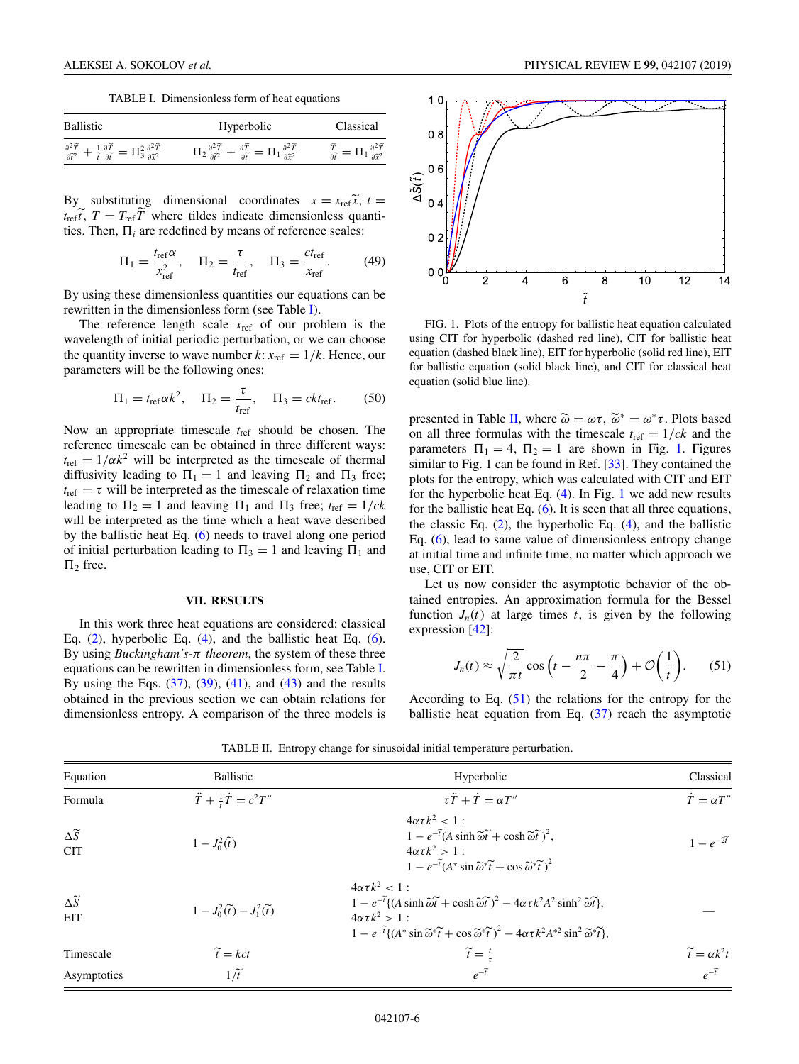TABLE I. Dimensionless form of heat equations

<span id="page-5-0"></span>

| <b>Ballistic</b>                                                                                                                            | Hyperbolic                                                                                            | Classical |
|---------------------------------------------------------------------------------------------------------------------------------------------|-------------------------------------------------------------------------------------------------------|-----------|
| $\frac{\partial^2 \widetilde{T}}{\partial \widetilde{t}^2} + \frac{1}{\widetilde{t}} \frac{\partial \widetilde{T}}{\partial \widetilde{t}}$ | $=\Pi_1\frac{\partial^2 \widetilde{T}}{\partial \widetilde{x}^2}$<br>$-\frac{\partial T}{\partial t}$ |           |

By substituting dimensional coordinates  $x = x_{ref} \tilde{x}$ ,  $t =$  $t_{\text{ref}}\tilde{t}$ ,  $T = T_{\text{ref}}\tilde{T}$  where tildes indicate dimensionless quantities. Then,  $\Pi_i$  are redefined by means of reference scales:

$$
\Pi_1 = \frac{t_{\text{ref}} \alpha}{x_{\text{ref}}^2}, \quad \Pi_2 = \frac{\tau}{t_{\text{ref}}}, \quad \Pi_3 = \frac{c t_{\text{ref}}}{x_{\text{ref}}}.
$$
 (49)

By using these dimensionless quantities our equations can be rewritten in the dimensionless form (see Table I).

The reference length scale  $x_{ref}$  of our problem is the wavelength of initial periodic perturbation, or we can choose the quantity inverse to wave number  $k: x_{ref} = 1/k$ . Hence, our parameters will be the following ones:

$$
\Pi_1 = t_{\text{ref}} \alpha k^2, \quad \Pi_2 = \frac{\tau}{t_{\text{ref}}}, \quad \Pi_3 = c k t_{\text{ref}}.
$$
 (50)

Now an appropriate timescale *t*ref should be chosen. The reference timescale can be obtained in three different ways:  $t_{\text{ref}} = 1/\alpha k^2$  will be interpreted as the timescale of thermal diffusivity leading to  $\Pi_1 = 1$  and leaving  $\Pi_2$  and  $\Pi_3$  free;  $t_{\text{ref}} = \tau$  will be interpreted as the timescale of relaxation time leading to  $\Pi_2 = 1$  and leaving  $\Pi_1$  and  $\Pi_3$  free;  $t_{\text{ref}} = 1/ck$ will be interpreted as the time which a heat wave described by the ballistic heat Eq. [\(6\)](#page-1-0) needs to travel along one period of initial perturbation leading to  $\Pi_3 = 1$  and leaving  $\Pi_1$  and  $\Pi_2$  free.

#### **VII. RESULTS**

In this work three heat equations are considered: classical Eq.  $(2)$ , hyperbolic Eq.  $(4)$ , and the ballistic heat Eq.  $(6)$ . By using *Buckingham's-*π *theorem*, the system of these three equations can be rewritten in dimensionless form, see Table I. By using the Eqs.  $(37)$ ,  $(39)$ ,  $(41)$ , and  $(43)$  and the results obtained in the previous section we can obtain relations for dimensionless entropy. A comparison of the three models is



FIG. 1. Plots of the entropy for ballistic heat equation calculated using CIT for hyperbolic (dashed red line), CIT for ballistic heat equation (dashed black line), EIT for hyperbolic (solid red line), EIT for ballistic equation (solid black line), and CIT for classical heat equation (solid blue line).

presented in Table II, where  $\tilde{\omega} = \omega \tau$ ,  $\tilde{\omega}^* = \omega^* \tau$ . Plots based on all three formulas with the timescale  $t_{\text{ref}} = 1/ck$  and the parameters  $\Pi_1 = 4$ ,  $\Pi_2 = 1$  are shown in Fig. 1. Figures similar to Fig. 1 can be found in Ref.  $[33]$ . They contained the plots for the entropy, which was calculated with CIT and EIT for the hyperbolic heat Eq. [\(4\)](#page-1-0). In Fig. 1 we add new results for the ballistic heat Eq. [\(6\)](#page-1-0). It is seen that all three equations, the classic Eq.  $(2)$ , the hyperbolic Eq.  $(4)$ , and the ballistic Eq. [\(6\)](#page-1-0), lead to same value of dimensionless entropy change at initial time and infinite time, no matter which approach we use, CIT or EIT.

Let us now consider the asymptotic behavior of the obtained entropies. An approximation formula for the Bessel function  $J_n(t)$  at large times  $t$ , is given by the following expression [\[42\]](#page-8-0):

$$
J_n(t) \approx \sqrt{\frac{2}{\pi t}} \cos\left(t - \frac{n\pi}{2} - \frac{\pi}{4}\right) + \mathcal{O}\left(\frac{1}{t}\right). \tag{51}
$$

According to Eq.  $(51)$  the relations for the entropy for the ballistic heat equation from Eq. [\(37\)](#page-3-0) reach the asymptotic

Equation and Ballistic **Example 2018** Ballistic **Hyperbolic** Hyperbolic Classical Formula  $\frac{1}{t}\dot{T} = c^2T''$  $\tau \ddot{T} + \dot{T} = \alpha T''$  $\dot{T} = \alpha T''$  $\frac{\Delta \widetilde{S}}{\text{CIT}}$ CIT  $1 - J_0^2(\tilde{t})$  $4\alpha\tau k^2 < 1$ :  $1 - e^{-\tilde{t}} (A \sinh \tilde{\omega} \tilde{t} + \cosh \tilde{\omega} \tilde{t})^2$ ,  $4\alpha\tau k^2 > 1$  :  $1 - e^{-\tilde{t}} (A^* \sin \tilde{\omega}^* \tilde{t} + \cos \tilde{\omega}^* \tilde{t})^2$  $1 - e^{-2t}$  $\frac{\Delta \widetilde{S}}{\text{EIT}}$ EIT  $1 - J_0^2(\tilde{t}) - J_1^2(\tilde{t})$  $4\alpha\tau k^2 < 1$ :  $1 - e^{-\tilde{t}} \{ (A \sinh \tilde{\omega} \tilde{t} + \cosh \tilde{\omega} \tilde{t})^2 - 4\alpha \tau k^2 A^2 \sinh^2 \tilde{\omega} \tilde{t} \},$  $4\alpha\tau k^2 > 1$  : 1 –  $e^{-\tilde{t}} \{ (A^* \sin \widetilde{\omega}^* \widetilde{t} + \cos \widetilde{\omega}^* \widetilde{t})^2 - 4\alpha \tau k^2 A^{*2} \sin^2 \widetilde{\omega}^* \widetilde{t} \},\}$ — Timescale  $\widetilde{t} = kct$   $\widetilde{t} = \frac{1}{3}$  $\widetilde{t} = \frac{t}{\tau}$   $\widetilde{t} = \alpha k^2 t$   $e^{-\widetilde{t}}$   $e^{-\widetilde{t}}$ Asymptotics  $1/\tilde{t}$  *e<sup>−* $\tilde{t}$  *e<sup>−* $\tilde{t}$ *</sup> <i>e*<sup>− $\tilde{t}$  *e*<sup>− $\tilde{t}$ </sup></sup></sup>

TABLE II. Entropy change for sinusoidal initial temperature perturbation.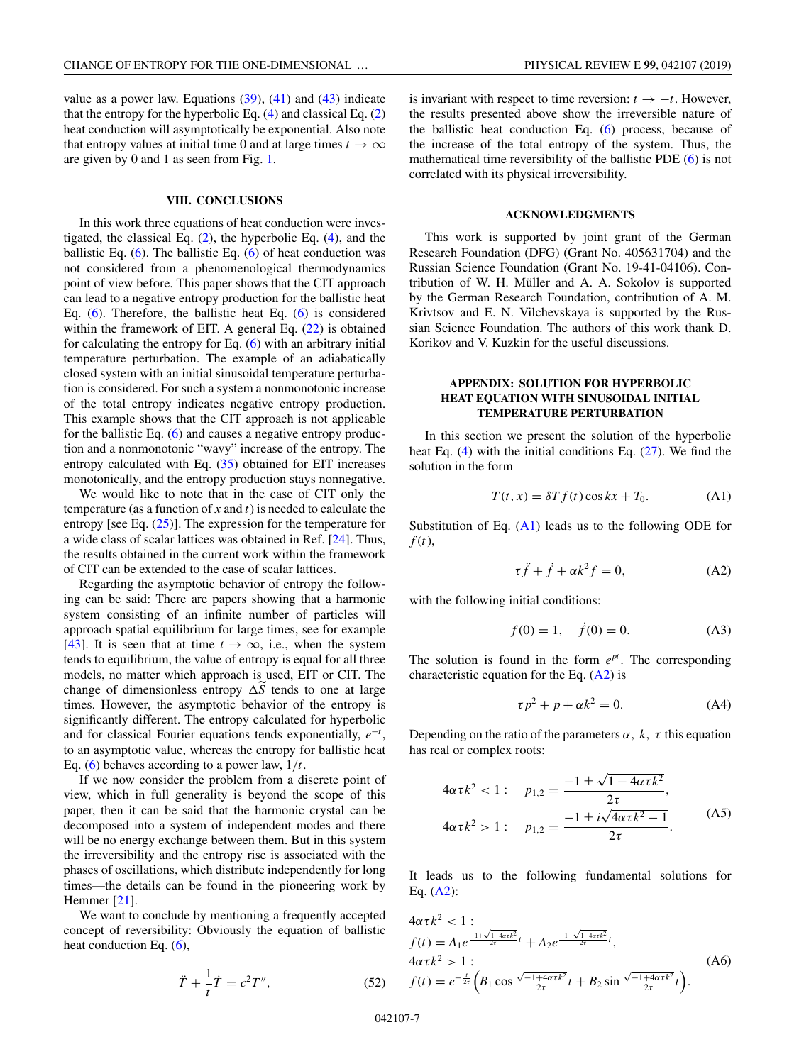<span id="page-6-0"></span>value as a power law. Equations  $(39)$ ,  $(41)$  and  $(43)$  indicate that the entropy for the hyperbolic Eq.  $(4)$  and classical Eq.  $(2)$ heat conduction will asymptotically be exponential. Also note that entropy values at initial time 0 and at large times  $t \to \infty$ are given by 0 and 1 as seen from Fig. [1.](#page-5-0)

## **VIII. CONCLUSIONS**

In this work three equations of heat conduction were investigated, the classical Eq.  $(2)$ , the hyperbolic Eq.  $(4)$ , and the ballistic Eq.  $(6)$ . The ballistic Eq.  $(6)$  of heat conduction was not considered from a phenomenological thermodynamics point of view before. This paper shows that the CIT approach can lead to a negative entropy production for the ballistic heat Eq. [\(6\)](#page-1-0). Therefore, the ballistic heat Eq. [\(6\)](#page-1-0) is considered within the framework of EIT. A general Eq.  $(22)$  is obtained for calculating the entropy for Eq.  $(6)$  with an arbitrary initial temperature perturbation. The example of an adiabatically closed system with an initial sinusoidal temperature perturbation is considered. For such a system a nonmonotonic increase of the total entropy indicates negative entropy production. This example shows that the CIT approach is not applicable for the ballistic Eq. [\(6\)](#page-1-0) and causes a negative entropy production and a nonmonotonic "wavy" increase of the entropy. The entropy calculated with Eq.  $(35)$  obtained for EIT increases monotonically, and the entropy production stays nonnegative.

We would like to note that in the case of CIT only the temperature (as a function of *x* and *t*) is needed to calculate the entropy [see Eq.  $(25)$ ]. The expression for the temperature for a wide class of scalar lattices was obtained in Ref. [\[24\]](#page-7-0). Thus, the results obtained in the current work within the framework of CIT can be extended to the case of scalar lattices.

Regarding the asymptotic behavior of entropy the following can be said: There are papers showing that a harmonic system consisting of an infinite number of particles will approach spatial equilibrium for large times, see for example [\[43\]](#page-8-0). It is seen that at time  $t \to \infty$ , i.e., when the system tends to equilibrium, the value of entropy is equal for all three models, no matter which approach is used, EIT or CIT. The change of dimensionless entropy  $\Delta \widetilde{S}$  tends to one at large times. However, the asymptotic behavior of the entropy is significantly different. The entropy calculated for hyperbolic and for classical Fourier equations tends exponentially,  $e^{-t}$ , to an asymptotic value, whereas the entropy for ballistic heat Eq. [\(6\)](#page-1-0) behaves according to a power law, 1/*t*.

If we now consider the problem from a discrete point of view, which in full generality is beyond the scope of this paper, then it can be said that the harmonic crystal can be decomposed into a system of independent modes and there will be no energy exchange between them. But in this system the irreversibility and the entropy rise is associated with the phases of oscillations, which distribute independently for long times—the details can be found in the pioneering work by Hemmer [\[21\]](#page-7-0).

We want to conclude by mentioning a frequently accepted concept of reversibility: Obviously the equation of ballistic heat conduction Eq. [\(6\)](#page-1-0),

$$
\ddot{T} + \frac{1}{t}\dot{T} = c^2 T'',\tag{52}
$$

is invariant with respect to time reversion:  $t \rightarrow -t$ . However, the results presented above show the irreversible nature of the ballistic heat conduction Eq. [\(6\)](#page-1-0) process, because of the increase of the total entropy of the system. Thus, the mathematical time reversibility of the ballistic PDE [\(6\)](#page-1-0) is not correlated with its physical irreversibility.

#### **ACKNOWLEDGMENTS**

This work is supported by joint grant of the German Research Foundation (DFG) (Grant No. 405631704) and the Russian Science Foundation (Grant No. 19-41-04106). Contribution of W. H. Müller and A. A. Sokolov is supported by the German Research Foundation, contribution of A. M. Krivtsov and E. N. Vilchevskaya is supported by the Russian Science Foundation. The authors of this work thank D. Korikov and V. Kuzkin for the useful discussions.

# **APPENDIX: SOLUTION FOR HYPERBOLIC HEAT EQUATION WITH SINUSOIDAL INITIAL TEMPERATURE PERTURBATION**

In this section we present the solution of the hyperbolic heat Eq. [\(4\)](#page-1-0) with the initial conditions Eq. [\(27\)](#page-2-0). We find the solution in the form

$$
T(t, x) = \delta T f(t) \cos kx + T_0.
$$
 (A1)

Substitution of Eq.  $(A1)$  leads us to the following ODE for *f* (*t*),

$$
\tau \ddot{f} + \dot{f} + \alpha k^2 f = 0,\tag{A2}
$$

with the following initial conditions:

$$
f(0) = 1, \quad \dot{f}(0) = 0. \tag{A3}
$$

The solution is found in the form  $e^{pt}$ . The corresponding characteristic equation for the Eq.  $(A2)$  is

$$
\tau p^2 + p + \alpha k^2 = 0. \tag{A4}
$$

Depending on the ratio of the parameters  $\alpha$ ,  $k$ ,  $\tau$  this equation has real or complex roots:

$$
4\alpha\tau k^2 < 1: \quad p_{1,2} = \frac{-1 \pm \sqrt{1 - 4\alpha\tau k^2}}{2\tau},
$$
  

$$
4\alpha\tau k^2 > 1: \quad p_{1,2} = \frac{-1 \pm i\sqrt{4\alpha\tau k^2 - 1}}{2\tau}.
$$
 (A5)

It leads us to the following fundamental solutions for Eq.  $(A2)$ :

$$
4\alpha \tau k^{2} < 1:
$$
  
\n
$$
f(t) = A_{1} e^{\frac{-1+\sqrt{1-4\alpha \tau k^{2}}}{2\tau}t} + A_{2} e^{\frac{-1-\sqrt{1-4\alpha \tau k^{2}}}{2\tau}t},
$$
  
\n
$$
4\alpha \tau k^{2} > 1:
$$
  
\n
$$
f(t) = e^{-\frac{t}{2\tau}} \Big( B_{1} \cos \frac{\sqrt{-1+4\alpha \tau k^{2}}}{2\tau}t + B_{2} \sin \frac{\sqrt{-1+4\alpha \tau k^{2}}}{2\tau}t \Big).
$$
\n(A6)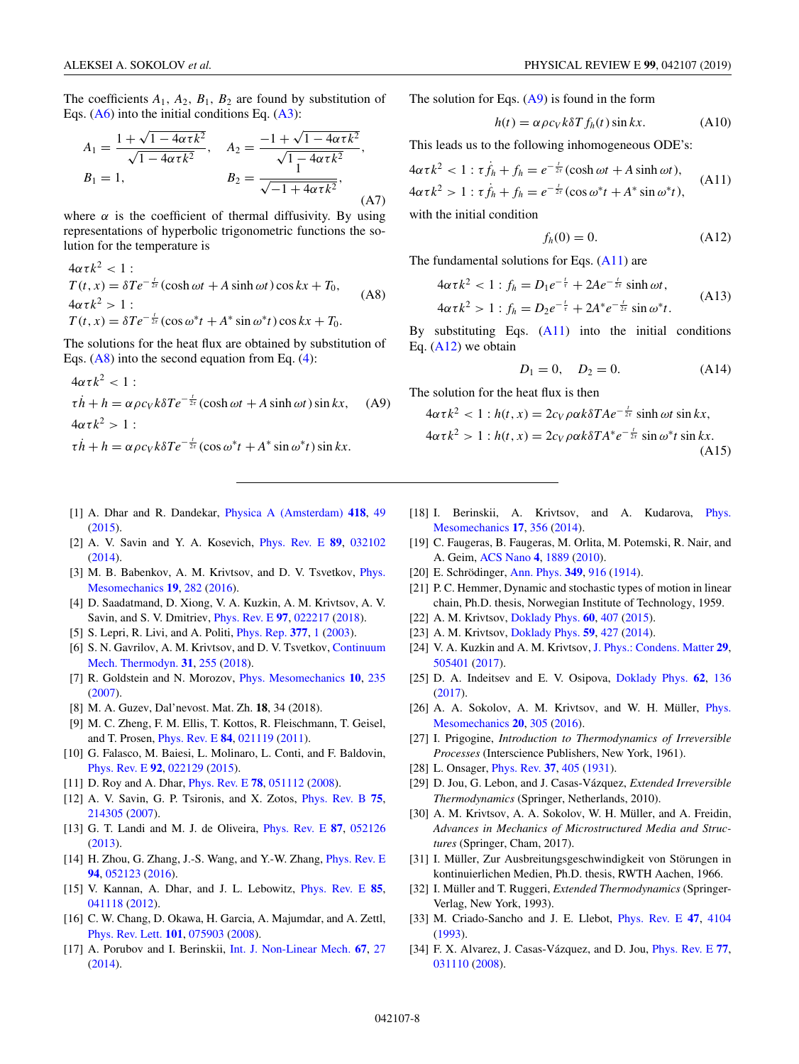<span id="page-7-0"></span>The coefficients  $A_1$ ,  $A_2$ ,  $B_1$ ,  $B_2$  are found by substitution of Eqs.  $(A6)$  into the initial conditions Eq.  $(A3)$ :

$$
A_1 = \frac{1 + \sqrt{1 - 4\alpha \tau k^2}}{\sqrt{1 - 4\alpha \tau k^2}}, \quad A_2 = \frac{-1 + \sqrt{1 - 4\alpha \tau k^2}}{\sqrt{1 - 4\alpha \tau k^2}},
$$
  
\n
$$
B_1 = 1, \quad B_2 = \frac{1}{\sqrt{-1 + 4\alpha \tau k^2}},
$$
  
\n(A7)

where  $\alpha$  is the coefficient of thermal diffusivity. By using representations of hyperbolic trigonometric functions the solution for the temperature is

$$
4\alpha\tau k^2 < 1:
$$
  
\n
$$
T(t, x) = \delta Te^{-\frac{t}{2\tau}}(\cosh \omega t + A \sinh \omega t) \cos kx + T_0,
$$
  
\n
$$
4\alpha\tau k^2 > 1:
$$
  
\n
$$
T(t, x) = \delta Te^{-\frac{t}{2\tau}}(\cos \omega^* t + A^* \sin \omega^* t) \cos kx + T_0.
$$
 (A8)

The solutions for the heat flux are obtained by substitution of Eqs.  $(A8)$  into the second equation from Eq.  $(4)$ :

$$
4\alpha \tau k^2 < 1:
$$
  
\n
$$
\tau \dot{h} + h = \alpha \rho c_V k \delta T e^{-\frac{t}{2\tau}} (\cosh \omega t + A \sinh \omega t) \sin kx,
$$
 (A9)  
\n
$$
4\alpha \tau k^2 > 1:
$$
  
\n
$$
\tau \dot{h} + h = \alpha \rho c_V k \delta T e^{-\frac{t}{2\tau}} (\cos \omega^* t + A^* \sin \omega^* t) \sin kx.
$$

- [1] A. Dhar and R. Dandekar, [Physica A \(Amsterdam\)](https://doi.org/10.1016/j.physa.2014.06.002) **[418](https://doi.org/10.1016/j.physa.2014.06.002)**, [49](https://doi.org/10.1016/j.physa.2014.06.002) [\(2015\)](https://doi.org/10.1016/j.physa.2014.06.002).
- [2] A. V. Savin and Y. A. Kosevich, [Phys. Rev. E](https://doi.org/10.1103/PhysRevE.89.032102) **[89](https://doi.org/10.1103/PhysRevE.89.032102)**, [032102](https://doi.org/10.1103/PhysRevE.89.032102)  $(2014)$ .
- [3] [M. B. Babenkov, A. M. Krivtsov, and D. V. Tsvetkov,](https://doi.org/10.1134/S1029959916030061) *Phys.* Mesomechanics **[19](https://doi.org/10.1134/S1029959916030061)**, [282](https://doi.org/10.1134/S1029959916030061) [\(2016\)](https://doi.org/10.1134/S1029959916030061).
- [4] D. Saadatmand, D. Xiong, V. A. Kuzkin, A. M. Krivtsov, A. V. Savin, and S. V. Dmitriev, [Phys. Rev. E](https://doi.org/10.1103/PhysRevE.97.022217) **[97](https://doi.org/10.1103/PhysRevE.97.022217)**, [022217](https://doi.org/10.1103/PhysRevE.97.022217) [\(2018\)](https://doi.org/10.1103/PhysRevE.97.022217).
- [5] S. Lepri, R. Livi, and A. Politi, [Phys. Rep.](https://doi.org/10.1016/S0370-1573(02)00558-6) **[377](https://doi.org/10.1016/S0370-1573(02)00558-6)**, [1](https://doi.org/10.1016/S0370-1573(02)00558-6) [\(2003\)](https://doi.org/10.1016/S0370-1573(02)00558-6).
- [6] [S. N. Gavrilov, A. M. Krivtsov, and D. V. Tsvetkov,](https://doi.org/10.1007/s00161-018-0681-3) Continuum Mech. Thermodyn. **[31](https://doi.org/10.1007/s00161-018-0681-3)**, [255](https://doi.org/10.1007/s00161-018-0681-3) [\(2018\)](https://doi.org/10.1007/s00161-018-0681-3).
- [7] R. Goldstein and N. Morozov, [Phys. Mesomechanics](https://doi.org/10.1016/j.physme.2007.11.002) **[10](https://doi.org/10.1016/j.physme.2007.11.002)**, [235](https://doi.org/10.1016/j.physme.2007.11.002) [\(2007\)](https://doi.org/10.1016/j.physme.2007.11.002).
- [8] M. A. Guzev, Dal'nevost. Mat. Zh. **18**, 34 (2018).
- [9] M. C. Zheng, F. M. Ellis, T. Kottos, R. Fleischmann, T. Geisel, and T. Prosen, [Phys. Rev. E](https://doi.org/10.1103/PhysRevE.84.021119) **[84](https://doi.org/10.1103/PhysRevE.84.021119)**, [021119](https://doi.org/10.1103/PhysRevE.84.021119) [\(2011\)](https://doi.org/10.1103/PhysRevE.84.021119).
- [10] G. Falasco, M. Baiesi, L. Molinaro, L. Conti, and F. Baldovin, [Phys. Rev. E](https://doi.org/10.1103/PhysRevE.92.022129) **[92](https://doi.org/10.1103/PhysRevE.92.022129)**, [022129](https://doi.org/10.1103/PhysRevE.92.022129) [\(2015\)](https://doi.org/10.1103/PhysRevE.92.022129).
- [11] D. Roy and A. Dhar, [Phys. Rev. E](https://doi.org/10.1103/PhysRevE.78.051112) **[78](https://doi.org/10.1103/PhysRevE.78.051112)**, [051112](https://doi.org/10.1103/PhysRevE.78.051112) [\(2008\)](https://doi.org/10.1103/PhysRevE.78.051112).
- [12] A. V. Savin, G. P. Tsironis, and X. Zotos, [Phys. Rev. B](https://doi.org/10.1103/PhysRevB.75.214305) **[75](https://doi.org/10.1103/PhysRevB.75.214305)**, [214305](https://doi.org/10.1103/PhysRevB.75.214305) [\(2007\)](https://doi.org/10.1103/PhysRevB.75.214305).
- [13] G. T. Landi and M. J. de Oliveira, [Phys. Rev. E](https://doi.org/10.1103/PhysRevE.87.052126) **[87](https://doi.org/10.1103/PhysRevE.87.052126)**, [052126](https://doi.org/10.1103/PhysRevE.87.052126) [\(2013\)](https://doi.org/10.1103/PhysRevE.87.052126).
- [14] H. Zhou, G. Zhang, J.-S. Wang, and Y.-W. Zhang, *[Phys. Rev. E](https://doi.org/10.1103/PhysRevE.94.052123)* **[94](https://doi.org/10.1103/PhysRevE.94.052123)**, [052123](https://doi.org/10.1103/PhysRevE.94.052123) [\(2016\)](https://doi.org/10.1103/PhysRevE.94.052123).
- [15] V. Kannan, A. Dhar, and J. L. Lebowitz, [Phys. Rev. E](https://doi.org/10.1103/PhysRevE.85.041118) **[85](https://doi.org/10.1103/PhysRevE.85.041118)**, [041118](https://doi.org/10.1103/PhysRevE.85.041118) [\(2012\)](https://doi.org/10.1103/PhysRevE.85.041118).
- [16] C. W. Chang, D. Okawa, H. Garcia, A. Majumdar, and A. Zettl, [Phys. Rev. Lett.](https://doi.org/10.1103/PhysRevLett.101.075903) **[101](https://doi.org/10.1103/PhysRevLett.101.075903)**, [075903](https://doi.org/10.1103/PhysRevLett.101.075903) [\(2008\)](https://doi.org/10.1103/PhysRevLett.101.075903).
- [17] A. Porubov and I. Berinskii, [Int. J. Non-Linear Mech.](https://doi.org/10.1016/j.ijnonlinmec.2014.07.003) **[67](https://doi.org/10.1016/j.ijnonlinmec.2014.07.003)**, [27](https://doi.org/10.1016/j.ijnonlinmec.2014.07.003) [\(2014\)](https://doi.org/10.1016/j.ijnonlinmec.2014.07.003).

The solution for Eqs.  $(A9)$  is found in the form

$$
h(t) = \alpha \rho c_V k \delta T f_h(t) \sin kx.
$$
 (A10)

This leads us to the following inhomogeneous ODE's:

$$
4\alpha\tau k^2 < 1 : \tau \dot{f}_h + f_h = e^{-\frac{t}{2\tau}} (\cosh \omega t + A \sinh \omega t),
$$
  

$$
4\alpha\tau k^2 > 1 : \tau \dot{f}_h + f_h = e^{-\frac{t}{2\tau}} (\cos \omega^* t + A^* \sin \omega^* t),
$$
 (A11)

with the initial condition

$$
f_h(0) = 0.\tag{A12}
$$

The fundamental solutions for Eqs. (A11) are

$$
4\alpha\tau k^2 < 1: f_h = D_1 e^{-\frac{t}{\tau}} + 2A e^{-\frac{t}{2\tau}} \sinh \omega t,
$$
\n
$$
4\alpha\tau k^2 > 1: f_h = D_2 e^{-\frac{t}{\tau}} + 2A^* e^{-\frac{t}{2\tau}} \sin \omega^* t. \tag{A13}
$$

By substituting Eqs.  $(A11)$  into the initial conditions Eq. (A12) we obtain

$$
D_1 = 0, \quad D_2 = 0. \tag{A14}
$$

The solution for the heat flux is then

$$
4\alpha\tau k^2 < 1 : h(t, x) = 2c_V \rho \alpha k \delta T A e^{-\frac{t}{2\tau}} \sinh \omega t \sin kx,
$$
  

$$
4\alpha\tau k^2 > 1 : h(t, x) = 2c_V \rho \alpha k \delta T A^* e^{-\frac{t}{2\tau}} \sin \omega^* t \sin kx.
$$
  
(A15)

- [18] [I. Berinskii, A. Krivtsov, and A. Kudarova,](https://doi.org/10.1134/S1029959914040134) Phys. Mesomechanics **[17](https://doi.org/10.1134/S1029959914040134)**, [356](https://doi.org/10.1134/S1029959914040134) [\(2014\)](https://doi.org/10.1134/S1029959914040134).
- [19] C. Faugeras, B. Faugeras, M. Orlita, M. Potemski, R. Nair, and A. Geim, [ACS Nano](https://doi.org/10.1021/nn9016229) **[4](https://doi.org/10.1021/nn9016229)**, [1889](https://doi.org/10.1021/nn9016229) [\(2010\)](https://doi.org/10.1021/nn9016229).
- [20] E. Schrödinger, [Ann. Phys.](https://doi.org/10.1002/andp.19143491405) **[349](https://doi.org/10.1002/andp.19143491405)**, [916](https://doi.org/10.1002/andp.19143491405) [\(1914\)](https://doi.org/10.1002/andp.19143491405).
- [21] P. C. Hemmer, Dynamic and stochastic types of motion in linear chain, Ph.D. thesis, Norwegian Institute of Technology, 1959.
- [22] A. M. Krivtsov, [Doklady Phys.](https://doi.org/10.1134/S1028335815090062) **[60](https://doi.org/10.1134/S1028335815090062)**, [407](https://doi.org/10.1134/S1028335815090062) [\(2015\)](https://doi.org/10.1134/S1028335815090062).
- [23] A. M. Krivtsov, [Doklady Phys.](https://doi.org/10.1134/S1028335814090080) **[59](https://doi.org/10.1134/S1028335814090080)**, [427](https://doi.org/10.1134/S1028335814090080) [\(2014\)](https://doi.org/10.1134/S1028335814090080).
- [24] V. A. Kuzkin and A. M. Krivtsov, [J. Phys.: Condens. Matter](https://doi.org/10.1088/1361-648X/aa98eb) **[29](https://doi.org/10.1088/1361-648X/aa98eb)**, [505401](https://doi.org/10.1088/1361-648X/aa98eb) [\(2017\)](https://doi.org/10.1088/1361-648X/aa98eb).
- [25] D. A. Indeitsev and E. V. Osipova, [Doklady Phys.](https://doi.org/10.1134/S1028335817030065) **[62](https://doi.org/10.1134/S1028335817030065)**, [136](https://doi.org/10.1134/S1028335817030065) [\(2017\)](https://doi.org/10.1134/S1028335817030065).
- [26] [A. A. Sokolov, A. M. Krivtsov, and W. H. Müller,](https://doi.org/10.1134/S1029959917030067) *Phys.* Mesomechanics **[20](https://doi.org/10.1134/S1029959917030067)**, [305](https://doi.org/10.1134/S1029959917030067) [\(2016\)](https://doi.org/10.1134/S1029959917030067).
- [27] I. Prigogine, *Introduction to Thermodynamics of Irreversible Processes* (Interscience Publishers, New York, 1961).
- [28] L. Onsager, [Phys. Rev.](https://doi.org/10.1103/PhysRev.37.405) **[37](https://doi.org/10.1103/PhysRev.37.405)**, [405](https://doi.org/10.1103/PhysRev.37.405) [\(1931\)](https://doi.org/10.1103/PhysRev.37.405).
- [29] D. Jou, G. Lebon, and J. Casas-Vázquez, *Extended Irreversible Thermodynamics* (Springer, Netherlands, 2010).
- [30] A. M. Krivtsov, A. A. Sokolov, W. H. Müller, and A. Freidin, *Advances in Mechanics of Microstructured Media and Structures* (Springer, Cham, 2017).
- [31] I. Müller, Zur Ausbreitungsgeschwindigkeit von Störungen in kontinuierlichen Medien, Ph.D. thesis, RWTH Aachen, 1966.
- [32] I. Müller and T. Ruggeri, *Extended Thermodynamics* (Springer-Verlag, New York, 1993).
- [33] M. Criado-Sancho and J. E. Llebot, [Phys. Rev. E](https://doi.org/10.1103/PhysRevE.47.4104) **[47](https://doi.org/10.1103/PhysRevE.47.4104)**, [4104](https://doi.org/10.1103/PhysRevE.47.4104) [\(1993\)](https://doi.org/10.1103/PhysRevE.47.4104).
- [34] F. X. Alvarez, J. Casas-Vázquez, and D. Jou, [Phys. Rev. E](https://doi.org/10.1103/PhysRevE.77.031110) **[77](https://doi.org/10.1103/PhysRevE.77.031110)**, [031110](https://doi.org/10.1103/PhysRevE.77.031110) [\(2008\)](https://doi.org/10.1103/PhysRevE.77.031110).